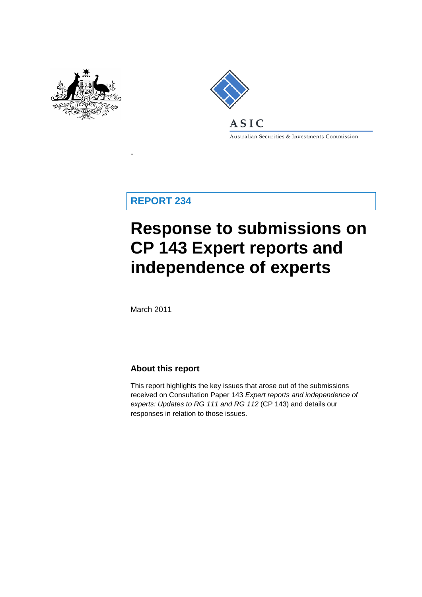



Australian Securities & Investments Commission

**REPORT 234**

-

# **Response to submissions on CP 143 Expert reports and independence of experts**

March 2011

### **About this report**

This report highlights the key issues that arose out of the submissions received on Consultation Paper 143 *Expert reports and independence of experts: Updates to RG 111 and RG 112* (CP 143) and details our responses in relation to those issues.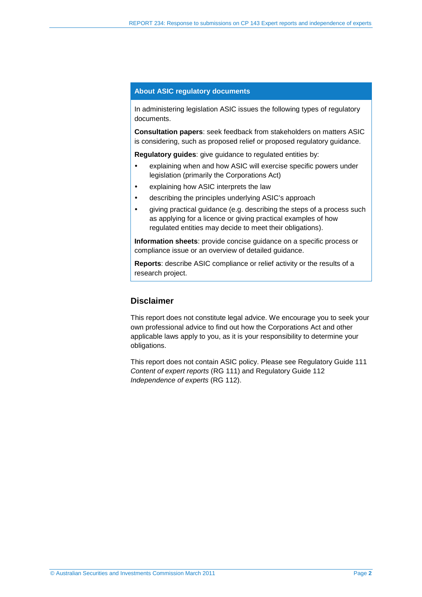#### **About ASIC regulatory documents**

In administering legislation ASIC issues the following types of regulatory documents.

**Consultation papers**: seek feedback from stakeholders on matters ASIC is considering, such as proposed relief or proposed regulatory guidance.

**Regulatory guides**: give guidance to regulated entities by:

- explaining when and how ASIC will exercise specific powers under legislation (primarily the Corporations Act)
- explaining how ASIC interprets the law
- describing the principles underlying ASIC's approach
- giving practical guidance (e.g. describing the steps of a process such as applying for a licence or giving practical examples of how regulated entities may decide to meet their obligations).

**Information sheets**: provide concise guidance on a specific process or compliance issue or an overview of detailed guidance.

**Reports**: describe ASIC compliance or relief activity or the results of a research project.

### **Disclaimer**

This report does not constitute legal advice. We encourage you to seek your own professional advice to find out how the Corporations Act and other applicable laws apply to you, as it is your responsibility to determine your obligations.

This report does not contain ASIC policy. Please see Regulatory Guide 111 *Content of expert reports* (RG 111) and Regulatory Guide 112 *Independence of experts* (RG 112).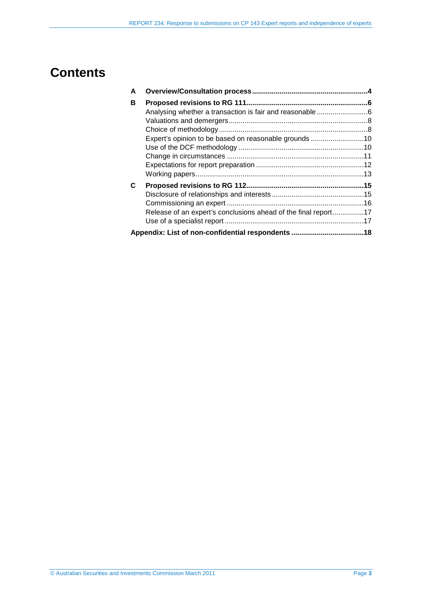## **Contents**

| A |                                                                |  |
|---|----------------------------------------------------------------|--|
| в |                                                                |  |
|   |                                                                |  |
|   |                                                                |  |
|   |                                                                |  |
|   | Expert's opinion to be based on reasonable grounds 10          |  |
|   |                                                                |  |
|   |                                                                |  |
|   |                                                                |  |
|   |                                                                |  |
| C |                                                                |  |
|   |                                                                |  |
|   |                                                                |  |
|   | Release of an expert's conclusions ahead of the final report17 |  |
|   |                                                                |  |
|   |                                                                |  |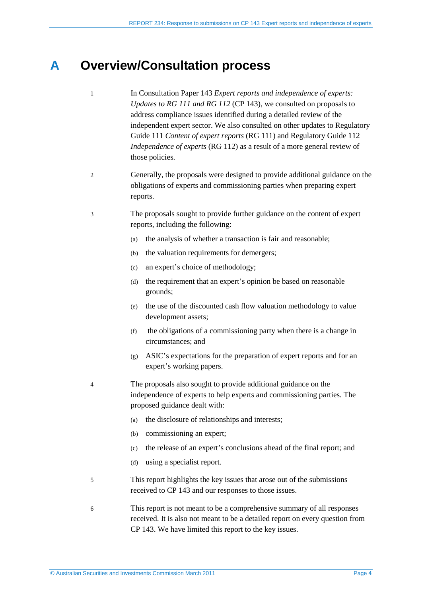## <span id="page-3-0"></span>**A Overview/Consultation process**

- 1 In Consultation Paper 143 *Expert reports and independence of experts: Updates to RG 111 and RG 112* (CP 143), we consulted on proposals to address compliance issues identified during a detailed review of the independent expert sector. We also consulted on other updates to Regulatory Guide 111 *Content of expert reports* (RG 111) and Regulatory Guide 112 *Independence of experts* (RG 112) as a result of a more general review of those policies.
- 2 Generally, the proposals were designed to provide additional guidance on the obligations of experts and commissioning parties when preparing expert reports.
- 3 The proposals sought to provide further guidance on the content of expert reports, including the following:
	- (a) the analysis of whether a transaction is fair and reasonable;
	- (b) the valuation requirements for demergers;
	- (c) an expert's choice of methodology;
	- (d) the requirement that an expert's opinion be based on reasonable grounds;
	- (e) the use of the discounted cash flow valuation methodology to value development assets;
	- (f) the obligations of a commissioning party when there is a change in circumstances; and
	- (g) ASIC's expectations for the preparation of expert reports and for an expert's working papers.
- 4 The proposals also sought to provide additional guidance on the independence of experts to help experts and commissioning parties. The proposed guidance dealt with:
	- (a) the disclosure of relationships and interests;
	- (b) commissioning an expert;
	- (c) the release of an expert's conclusions ahead of the final report; and
	- (d) using a specialist report.
- 5 This report highlights the key issues that arose out of the submissions received to CP 143 and our responses to those issues.
- 6 This report is not meant to be a comprehensive summary of all responses received. It is also not meant to be a detailed report on every question from CP 143. We have limited this report to the key issues.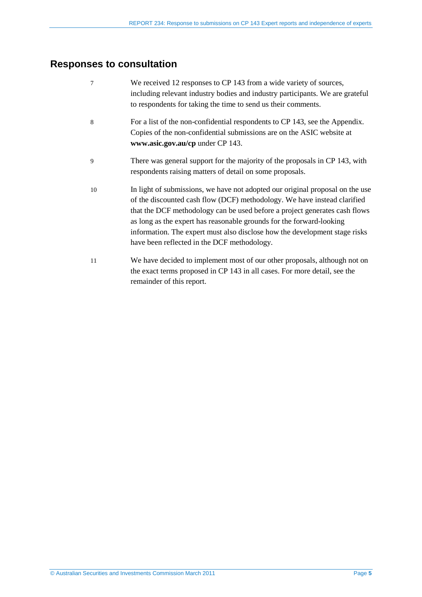## **Responses to consultation**

| 7  | We received 12 responses to CP 143 from a wide variety of sources,<br>including relevant industry bodies and industry participants. We are grateful<br>to respondents for taking the time to send us their comments.                                                                                                                                                                                                                         |
|----|----------------------------------------------------------------------------------------------------------------------------------------------------------------------------------------------------------------------------------------------------------------------------------------------------------------------------------------------------------------------------------------------------------------------------------------------|
| 8  | For a list of the non-confidential respondents to CP 143, see the Appendix.<br>Copies of the non-confidential submissions are on the ASIC website at<br>www.asic.gov.au/cp under CP 143.                                                                                                                                                                                                                                                     |
| 9  | There was general support for the majority of the proposals in CP 143, with<br>respondents raising matters of detail on some proposals.                                                                                                                                                                                                                                                                                                      |
| 10 | In light of submissions, we have not adopted our original proposal on the use<br>of the discounted cash flow (DCF) methodology. We have instead clarified<br>that the DCF methodology can be used before a project generates cash flows<br>as long as the expert has reasonable grounds for the forward-looking<br>information. The expert must also disclose how the development stage risks<br>have been reflected in the DCF methodology. |
| 11 | We have decided to implement most of our other proposals, although not on<br>the exact terms proposed in CP 143 in all cases. For more detail, see the<br>remainder of this report.                                                                                                                                                                                                                                                          |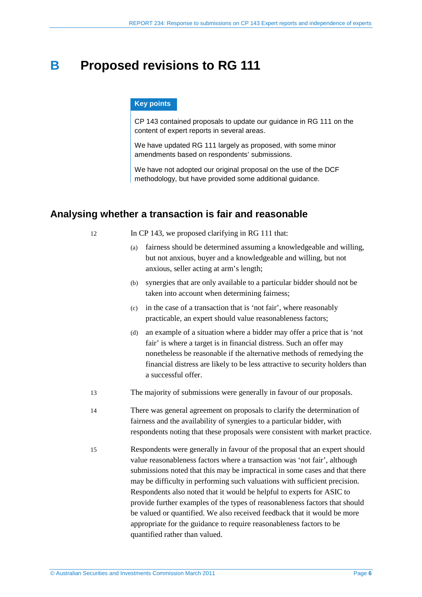## <span id="page-5-0"></span>**B Proposed revisions to RG 111**

### **Key points**

CP 143 contained proposals to update our guidance in RG 111 on the content of expert reports in several areas.

We have updated RG 111 largely as proposed, with some minor amendments based on respondents' submissions.

We have not adopted our original proposal on the use of the DCF methodology, but have provided some additional guidance.

## <span id="page-5-1"></span>**Analysing whether a transaction is fair and reasonable**

- 12 In CP 143, we proposed clarifying in RG 111 that:
	- (a) fairness should be determined assuming a knowledgeable and willing, but not anxious, buyer and a knowledgeable and willing, but not anxious, seller acting at arm's length;
	- (b) synergies that are only available to a particular bidder should not be taken into account when determining fairness;
	- (c) in the case of a transaction that is 'not fair', where reasonably practicable, an expert should value reasonableness factors;
	- (d) an example of a situation where a bidder may offer a price that is 'not fair' is where a target is in financial distress. Such an offer may nonetheless be reasonable if the alternative methods of remedying the financial distress are likely to be less attractive to security holders than a successful offer.
- <span id="page-5-2"></span>13 The majority of submissions were generally in favour of our proposals.
- 14 There was general agreement on proposals to clarify the determination of fairness and the availability of synergies to a particular bidder, with respondents noting that these proposals were consistent with market practice.
- 15 Respondents were generally in favour of the proposal that an expert should value reasonableness factors where a transaction was 'not fair', although submissions noted that this may be impractical in some cases and that there may be difficulty in performing such valuations with sufficient precision. Respondents also noted that it would be helpful to experts for ASIC to provide further examples of the types of reasonableness factors that should be valued or quantified. We also received feedback that it would be more appropriate for the guidance to require reasonableness factors to be quantified rather than valued.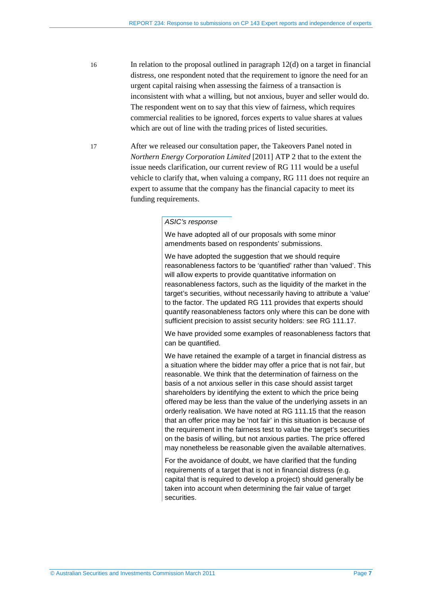- 16 In relation to the proposal outlined in paragraph [12\(d\)](#page-5-2) on a target in financial distress, one respondent noted that the requirement to ignore the need for an urgent capital raising when assessing the fairness of a transaction is inconsistent with what a willing, but not anxious, buyer and seller would do. The respondent went on to say that this view of fairness, which requires commercial realities to be ignored, forces experts to value shares at values which are out of line with the trading prices of listed securities.
- 17 After we released our consultation paper, the Takeovers Panel noted in *Northern Energy Corporation Limited* [2011] ATP 2 that to the extent the issue needs clarification, our current review of RG 111 would be a useful vehicle to clarify that, when valuing a company, RG 111 does not require an expert to assume that the company has the financial capacity to meet its funding requirements.

#### *ASIC's response*

We have adopted all of our proposals with some minor amendments based on respondents' submissions.

We have adopted the suggestion that we should require reasonableness factors to be 'quantified' rather than 'valued'. This will allow experts to provide quantitative information on reasonableness factors, such as the liquidity of the market in the target's securities, without necessarily having to attribute a 'value' to the factor. The updated RG 111 provides that experts should quantify reasonableness factors only where this can be done with sufficient precision to assist security holders: see RG 111.17.

We have provided some examples of reasonableness factors that can be quantified.

We have retained the example of a target in financial distress as a situation where the bidder may offer a price that is not fair, but reasonable. We think that the determination of fairness on the basis of a not anxious seller in this case should assist target shareholders by identifying the extent to which the price being offered may be less than the value of the underlying assets in an orderly realisation. We have noted at RG 111.15 that the reason that an offer price may be 'not fair' in this situation is because of the requirement in the fairness test to value the target's securities on the basis of willing, but not anxious parties. The price offered may nonetheless be reasonable given the available alternatives.

For the avoidance of doubt, we have clarified that the funding requirements of a target that is not in financial distress (e.g. capital that is required to develop a project) should generally be taken into account when determining the fair value of target securities.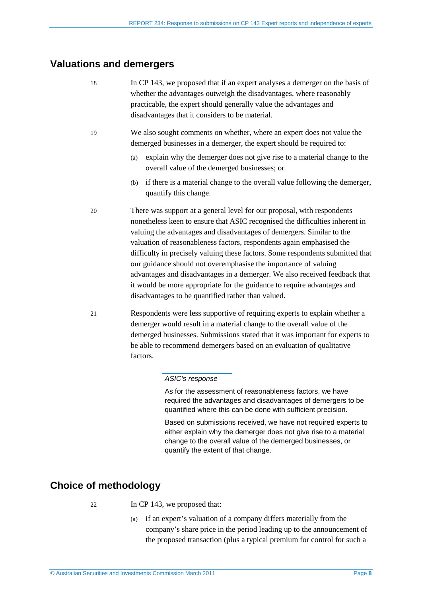## <span id="page-7-0"></span>**Valuations and demergers**

- 18 In CP 143, we proposed that if an expert analyses a demerger on the basis of whether the advantages outweigh the disadvantages, where reasonably practicable, the expert should generally value the advantages and disadvantages that it considers to be material.
- 19 We also sought comments on whether, where an expert does not value the demerged businesses in a demerger, the expert should be required to:
	- (a) explain why the demerger does not give rise to a material change to the overall value of the demerged businesses; or
	- (b) if there is a material change to the overall value following the demerger, quantify this change.
- 20 There was support at a general level for our proposal, with respondents nonetheless keen to ensure that ASIC recognised the difficulties inherent in valuing the advantages and disadvantages of demergers. Similar to the valuation of reasonableness factors, respondents again emphasised the difficulty in precisely valuing these factors. Some respondents submitted that our guidance should not overemphasise the importance of valuing advantages and disadvantages in a demerger. We also received feedback that it would be more appropriate for the guidance to require advantages and disadvantages to be quantified rather than valued.
- 21 Respondents were less supportive of requiring experts to explain whether a demerger would result in a material change to the overall value of the demerged businesses. Submissions stated that it was important for experts to be able to recommend demergers based on an evaluation of qualitative factors.

### *ASIC's response*

As for the assessment of reasonableness factors, we have required the advantages and disadvantages of demergers to be quantified where this can be done with sufficient precision.

Based on submissions received, we have not required experts to either explain why the demerger does not give rise to a material change to the overall value of the demerged businesses, or quantify the extent of that change.

## <span id="page-7-1"></span>**Choice of methodology**

- 22 In CP 143, we proposed that:
	- (a) if an expert's valuation of a company differs materially from the company's share price in the period leading up to the announcement of the proposed transaction (plus a typical premium for control for such a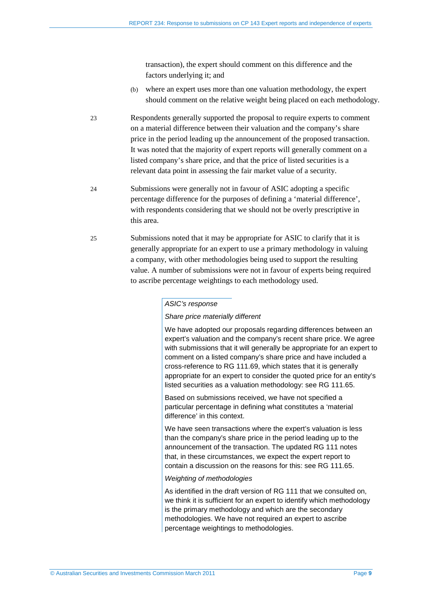transaction), the expert should comment on this difference and the factors underlying it; and

- (b) where an expert uses more than one valuation methodology, the expert should comment on the relative weight being placed on each methodology.
- 23 Respondents generally supported the proposal to require experts to comment on a material difference between their valuation and the company's share price in the period leading up the announcement of the proposed transaction. It was noted that the majority of expert reports will generally comment on a listed company's share price, and that the price of listed securities is a relevant data point in assessing the fair market value of a security.
- 24 Submissions were generally not in favour of ASIC adopting a specific percentage difference for the purposes of defining a 'material difference', with respondents considering that we should not be overly prescriptive in this area.
- 25 Submissions noted that it may be appropriate for ASIC to clarify that it is generally appropriate for an expert to use a primary methodology in valuing a company, with other methodologies being used to support the resulting value. A number of submissions were not in favour of experts being required to ascribe percentage weightings to each methodology used.

#### *ASIC's response*

#### *Share price materially different*

We have adopted our proposals regarding differences between an expert's valuation and the company's recent share price. We agree with submissions that it will generally be appropriate for an expert to comment on a listed company's share price and have included a cross-reference to RG 111.69, which states that it is generally appropriate for an expert to consider the quoted price for an entity's listed securities as a valuation methodology: see RG 111.65.

Based on submissions received, we have not specified a particular percentage in defining what constitutes a 'material difference' in this context.

We have seen transactions where the expert's valuation is less than the company's share price in the period leading up to the announcement of the transaction. The updated RG 111 notes that, in these circumstances, we expect the expert report to contain a discussion on the reasons for this: see RG 111.65.

#### *Weighting of methodologies*

As identified in the draft version of RG 111 that we consulted on, we think it is sufficient for an expert to identify which methodology is the primary methodology and which are the secondary methodologies. We have not required an expert to ascribe percentage weightings to methodologies.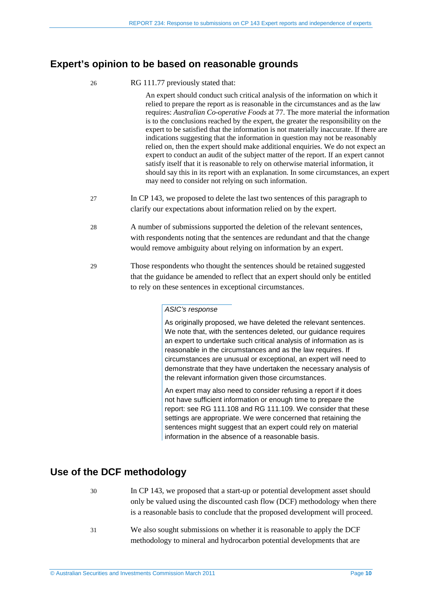## <span id="page-9-0"></span>**Expert's opinion to be based on reasonable grounds**

26 RG 111.77 previously stated that:

An expert should conduct such critical analysis of the information on which it relied to prepare the report as is reasonable in the circumstances and as the law requires: *Australian Co-operative Foods* at 77. The more material the information is to the conclusions reached by the expert, the greater the responsibility on the expert to be satisfied that the information is not materially inaccurate. If there are indications suggesting that the information in question may not be reasonably relied on, then the expert should make additional enquiries. We do not expect an expert to conduct an audit of the subject matter of the report. If an expert cannot satisfy itself that it is reasonable to rely on otherwise material information, it should say this in its report with an explanation. In some circumstances, an expert may need to consider not relying on such information.

- 27 In CP 143, we proposed to delete the last two sentences of this paragraph to clarify our expectations about information relied on by the expert.
- 28 A number of submissions supported the deletion of the relevant sentences, with respondents noting that the sentences are redundant and that the change would remove ambiguity about relying on information by an expert.
- 29 Those respondents who thought the sentences should be retained suggested that the guidance be amended to reflect that an expert should only be entitled to rely on these sentences in exceptional circumstances.

### *ASIC's response*

As originally proposed, we have deleted the relevant sentences. We note that, with the sentences deleted, our quidance requires an expert to undertake such critical analysis of information as is reasonable in the circumstances and as the law requires. If circumstances are unusual or exceptional, an expert will need to demonstrate that they have undertaken the necessary analysis of the relevant information given those circumstances.

An expert may also need to consider refusing a report if it does not have sufficient information or enough time to prepare the report: see RG 111.108 and RG 111.109. We consider that these settings are appropriate. We were concerned that retaining the sentences might suggest that an expert could rely on material information in the absence of a reasonable basis.

## <span id="page-9-1"></span>**Use of the DCF methodology**

- 30 In CP 143, we proposed that a start-up or potential development asset should only be valued using the discounted cash flow (DCF) methodology when there is a reasonable basis to conclude that the proposed development will proceed.
- 31 We also sought submissions on whether it is reasonable to apply the DCF methodology to mineral and hydrocarbon potential developments that are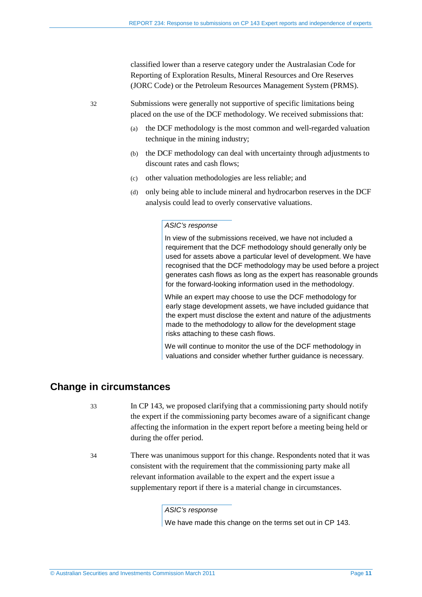classified lower than a reserve category under the Australasian Code for Reporting of Exploration Results, Mineral Resources and Ore Reserves (JORC Code) or the Petroleum Resources Management System (PRMS).

32 Submissions were generally not supportive of specific limitations being placed on the use of the DCF methodology. We received submissions that:

- (a) the DCF methodology is the most common and well-regarded valuation technique in the mining industry;
- (b) the DCF methodology can deal with uncertainty through adjustments to discount rates and cash flows;
- (c) other valuation methodologies are less reliable; and
- (d) only being able to include mineral and hydrocarbon reserves in the DCF analysis could lead to overly conservative valuations.

#### *ASIC's response*

In view of the submissions received, we have not included a requirement that the DCF methodology should generally only be used for assets above a particular level of development. We have recognised that the DCF methodology may be used before a project generates cash flows as long as the expert has reasonable grounds for the forward-looking information used in the methodology.

While an expert may choose to use the DCF methodology for early stage development assets, we have included guidance that the expert must disclose the extent and nature of the adjustments made to the methodology to allow for the development stage risks attaching to these cash flows.

We will continue to monitor the use of the DCF methodology in valuations and consider whether further guidance is necessary.

### <span id="page-10-0"></span>**Change in circumstances**

- 33 In CP 143, we proposed clarifying that a commissioning party should notify the expert if the commissioning party becomes aware of a significant change affecting the information in the expert report before a meeting being held or during the offer period.
- 34 There was unanimous support for this change. Respondents noted that it was consistent with the requirement that the commissioning party make all relevant information available to the expert and the expert issue a supplementary report if there is a material change in circumstances.

*ASIC's response*

We have made this change on the terms set out in CP 143.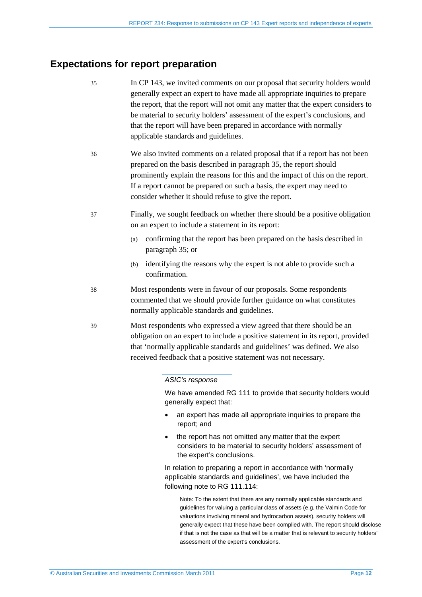## <span id="page-11-1"></span><span id="page-11-0"></span>**Expectations for report preparation**

35 In CP 143, we invited comments on our proposal that security holders would generally expect an expert to have made all appropriate inquiries to prepare the report, that the report will not omit any matter that the expert considers to be material to security holders' assessment of the expert's conclusions, and that the report will have been prepared in accordance with normally applicable standards and guidelines. 36 We also invited comments on a related proposal that if a report has not been prepared on the basis described in paragraph [35,](#page-11-1) the report should prominently explain the reasons for this and the impact of this on the report. If a report cannot be prepared on such a basis, the expert may need to consider whether it should refuse to give the report. 37 Finally, we sought feedback on whether there should be a positive obligation on an expert to include a statement in its report: (a) confirming that the report has been prepared on the basis described in paragraph [35;](#page-11-1) or (b) identifying the reasons why the expert is not able to provide such a confirmation. 38 Most respondents were in favour of our proposals. Some respondents commented that we should provide further guidance on what constitutes normally applicable standards and guidelines. 39 Most respondents who expressed a view agreed that there should be an obligation on an expert to include a positive statement in its report, provided that 'normally applicable standards and guidelines' was defined. We also received feedback that a positive statement was not necessary. *ASIC's response* We have amended RG 111 to provide that security holders would generally expect that: • an expert has made all appropriate inquiries to prepare the report; and • the report has not omitted any matter that the expert

considers to be material to security holders' assessment of the expert's conclusions.

In relation to preparing a report in accordance with 'normally applicable standards and guidelines', we have included the following note to RG 111.114:

Note: To the extent that there are any normally applicable standards and guidelines for valuing a particular class of assets (e.g. the Valmin Code for valuations involving mineral and hydrocarbon assets), security holders will generally expect that these have been complied with. The report should disclose if that is not the case as that will be a matter that is relevant to security holders' assessment of the expert's conclusions.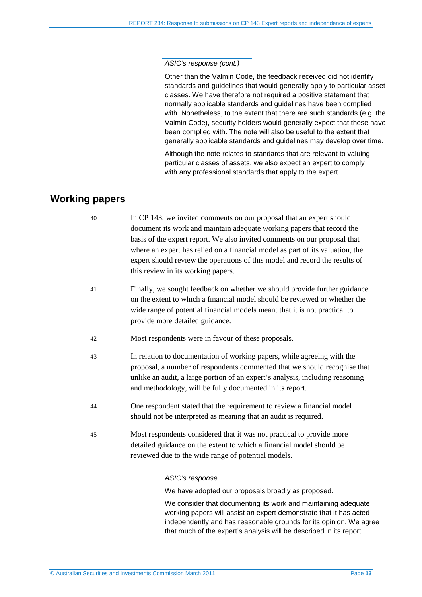#### *ASIC's response (cont.)*

Other than the Valmin Code, the feedback received did not identify standards and guidelines that would generally apply to particular asset classes. We have therefore not required a positive statement that normally applicable standards and guidelines have been complied with. Nonetheless, to the extent that there are such standards (e.g. the Valmin Code), security holders would generally expect that these have been complied with. The note will also be useful to the extent that generally applicable standards and guidelines may develop over time.

Although the note relates to standards that are relevant to valuing particular classes of assets, we also expect an expert to comply with any professional standards that apply to the expert.

## <span id="page-12-0"></span>**Working papers**

| 40 | In CP 143, we invited comments on our proposal that an expert should          |
|----|-------------------------------------------------------------------------------|
|    | document its work and maintain adequate working papers that record the        |
|    | basis of the expert report. We also invited comments on our proposal that     |
|    | where an expert has relied on a financial model as part of its valuation, the |
|    | expert should review the operations of this model and record the results of   |
|    | this review in its working papers.                                            |

- 41 Finally, we sought feedback on whether we should provide further guidance on the extent to which a financial model should be reviewed or whether the wide range of potential financial models meant that it is not practical to provide more detailed guidance.
- 42 Most respondents were in favour of these proposals.
- 43 In relation to documentation of working papers, while agreeing with the proposal, a number of respondents commented that we should recognise that unlike an audit, a large portion of an expert's analysis, including reasoning and methodology, will be fully documented in its report.
- 44 One respondent stated that the requirement to review a financial model should not be interpreted as meaning that an audit is required.
- 45 Most respondents considered that it was not practical to provide more detailed guidance on the extent to which a financial model should be reviewed due to the wide range of potential models.

#### *ASIC's response*

We have adopted our proposals broadly as proposed.

We consider that documenting its work and maintaining adequate working papers will assist an expert demonstrate that it has acted independently and has reasonable grounds for its opinion. We agree that much of the expert's analysis will be described in its report.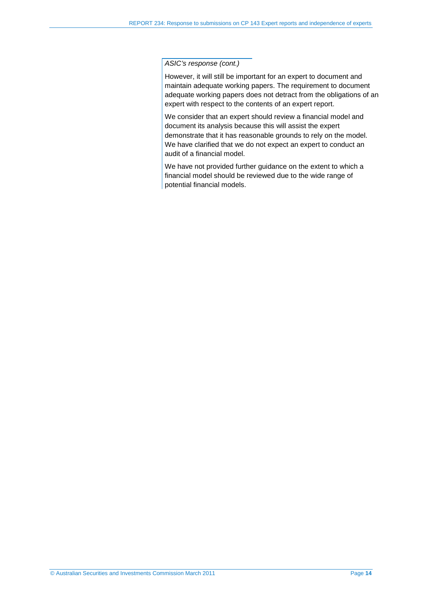#### *ASIC's response (cont.)*

However, it will still be important for an expert to document and maintain adequate working papers. The requirement to document adequate working papers does not detract from the obligations of an expert with respect to the contents of an expert report.

We consider that an expert should review a financial model and document its analysis because this will assist the expert demonstrate that it has reasonable grounds to rely on the model. We have clarified that we do not expect an expert to conduct an audit of a financial model.

We have not provided further guidance on the extent to which a financial model should be reviewed due to the wide range of potential financial models.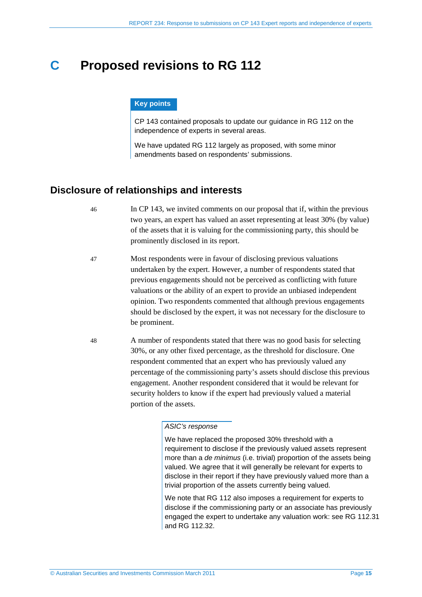## <span id="page-14-0"></span>**C Proposed revisions to RG 112**

#### **Key points**

CP 143 contained proposals to update our guidance in RG 112 on the independence of experts in several areas.

We have updated RG 112 largely as proposed, with some minor amendments based on respondents' submissions.

### <span id="page-14-1"></span>**Disclosure of relationships and interests**

- 46 In CP 143, we invited comments on our proposal that if, within the previous two years, an expert has valued an asset representing at least 30% (by value) of the assets that it is valuing for the commissioning party, this should be prominently disclosed in its report.
- 47 Most respondents were in favour of disclosing previous valuations undertaken by the expert. However, a number of respondents stated that previous engagements should not be perceived as conflicting with future valuations or the ability of an expert to provide an unbiased independent opinion. Two respondents commented that although previous engagements should be disclosed by the expert, it was not necessary for the disclosure to be prominent.
- 48 A number of respondents stated that there was no good basis for selecting 30%, or any other fixed percentage, as the threshold for disclosure. One respondent commented that an expert who has previously valued any percentage of the commissioning party's assets should disclose this previous engagement. Another respondent considered that it would be relevant for security holders to know if the expert had previously valued a material portion of the assets.

#### *ASIC's response*

We have replaced the proposed 30% threshold with a requirement to disclose if the previously valued assets represent more than a *de minimus* (i.e. trivial) proportion of the assets being valued. We agree that it will generally be relevant for experts to disclose in their report if they have previously valued more than a trivial proportion of the assets currently being valued.

We note that RG 112 also imposes a requirement for experts to disclose if the commissioning party or an associate has previously engaged the expert to undertake any valuation work: see RG 112.31 and RG 112.32.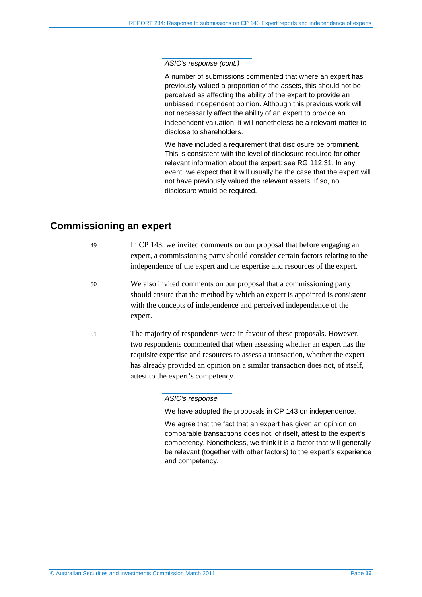*ASIC's response (cont.)*

A number of submissions commented that where an expert has previously valued a proportion of the assets, this should not be perceived as affecting the ability of the expert to provide an unbiased independent opinion. Although this previous work will not necessarily affect the ability of an expert to provide an independent valuation, it will nonetheless be a relevant matter to disclose to shareholders.

We have included a requirement that disclosure be prominent. This is consistent with the level of disclosure required for other relevant information about the expert: see RG 112.31. In any event, we expect that it will usually be the case that the expert will not have previously valued the relevant assets. If so, no disclosure would be required.

## <span id="page-15-0"></span>**Commissioning an expert**

| 49 | In CP 143, we invited comments on our proposal that before engaging an<br>expert, a commissioning party should consider certain factors relating to the<br>independence of the expert and the expertise and resources of the expert.                                                                                                                       |
|----|------------------------------------------------------------------------------------------------------------------------------------------------------------------------------------------------------------------------------------------------------------------------------------------------------------------------------------------------------------|
| 50 | We also invited comments on our proposal that a commissioning party<br>should ensure that the method by which an expert is appointed is consistent<br>with the concepts of independence and perceived independence of the<br>expert.                                                                                                                       |
| 51 | The majority of respondents were in favour of these proposals. However,<br>two respondents commented that when assessing whether an expert has the<br>requisite expertise and resources to assess a transaction, whether the expert<br>has already provided an opinion on a similar transaction does not, of itself,<br>attest to the expert's competency. |

#### *ASIC's response*

We have adopted the proposals in CP 143 on independence.

We agree that the fact that an expert has given an opinion on comparable transactions does not, of itself, attest to the expert's competency. Nonetheless, we think it is a factor that will generally be relevant (together with other factors) to the expert's experience and competency.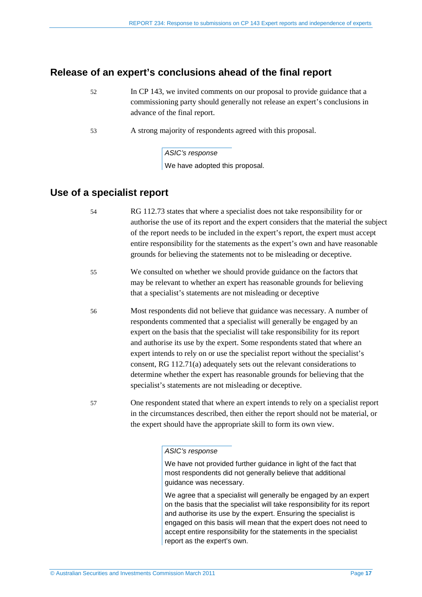## <span id="page-16-0"></span>**Release of an expert's conclusions ahead of the final report**

- 52 In CP 143, we invited comments on our proposal to provide guidance that a commissioning party should generally not release an expert's conclusions in advance of the final report.
- 53 A strong majority of respondents agreed with this proposal.

### *ASIC's response*

We have adopted this proposal.

### <span id="page-16-1"></span>**Use of a specialist report**

- 54 RG 112.73 states that where a specialist does not take responsibility for or authorise the use of its report and the expert considers that the material the subject of the report needs to be included in the expert's report, the expert must accept entire responsibility for the statements as the expert's own and have reasonable grounds for believing the statements not to be misleading or deceptive.
- 55 We consulted on whether we should provide guidance on the factors that may be relevant to whether an expert has reasonable grounds for believing that a specialist's statements are not misleading or deceptive
- 56 Most respondents did not believe that guidance was necessary. A number of respondents commented that a specialist will generally be engaged by an expert on the basis that the specialist will take responsibility for its report and authorise its use by the expert. Some respondents stated that where an expert intends to rely on or use the specialist report without the specialist's consent, RG 112.71(a) adequately sets out the relevant considerations to determine whether the expert has reasonable grounds for believing that the specialist's statements are not misleading or deceptive.
- 57 One respondent stated that where an expert intends to rely on a specialist report in the circumstances described, then either the report should not be material, or the expert should have the appropriate skill to form its own view.

### *ASIC's response*

We have not provided further guidance in light of the fact that most respondents did not generally believe that additional guidance was necessary.

We agree that a specialist will generally be engaged by an expert on the basis that the specialist will take responsibility for its report and authorise its use by the expert. Ensuring the specialist is engaged on this basis will mean that the expert does not need to accept entire responsibility for the statements in the specialist report as the expert's own.